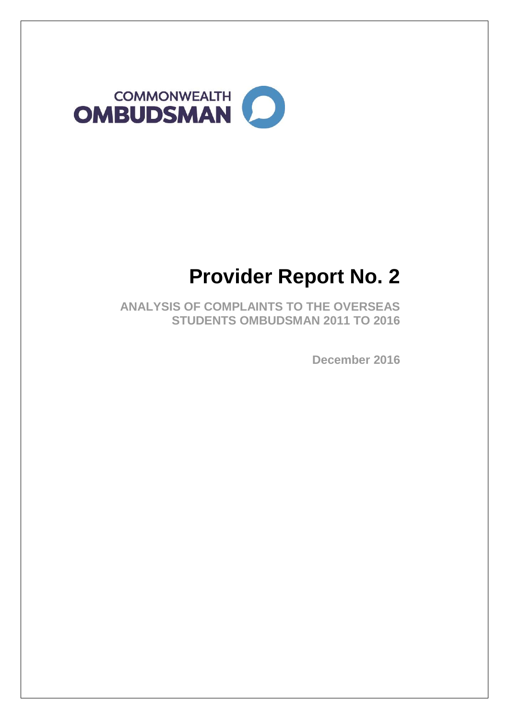

# **Provider Report No. 2**

**ANALYSIS OF COMPLAINTS TO THE OVERSEAS STUDENTS OMBUDSMAN 2011 TO 2016**

**December 2016**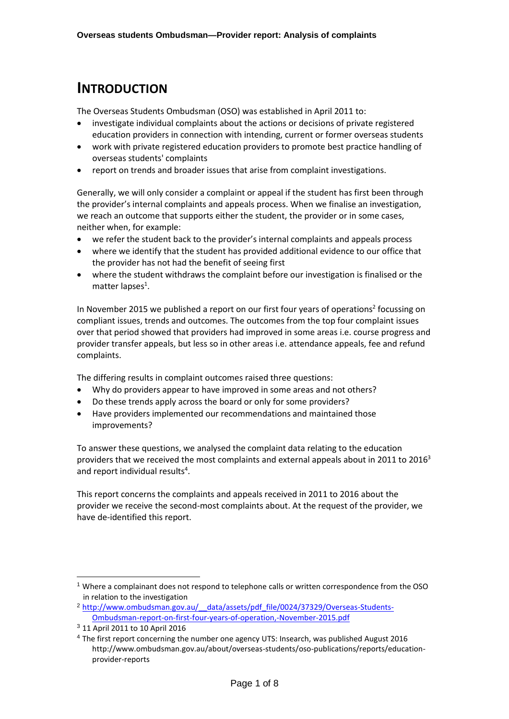## **INTRODUCTION**

The Overseas Students Ombudsman (OSO) was established in April 2011 to:

- investigate individual complaints about the actions or decisions of private registered education providers in connection with intending, current or former overseas students
- work with private registered education providers to promote best practice handling of overseas students' complaints
- report on trends and broader issues that arise from complaint investigations.

Generally, we will only consider a complaint or appeal if the student has first been through the provider's internal complaints and appeals process. When we finalise an investigation, we reach an outcome that supports either the student, the provider or in some cases, neither when, for example:

- we refer the student back to the provider's internal complaints and appeals process
- where we identify that the student has provided additional evidence to our office that the provider has not had the benefit of seeing first
- where the student withdraws the complaint before our investigation is finalised or the matter lapses<sup>1</sup>.

In November 2015 we published a report on our first four years of operations<sup>2</sup> focussing on compliant issues, trends and outcomes. The outcomes from the top four complaint issues over that period showed that providers had improved in some areas i.e. course progress and provider transfer appeals, but less so in other areas i.e. attendance appeals, fee and refund complaints.

The differing results in complaint outcomes raised three questions:

- Why do providers appear to have improved in some areas and not others?
- Do these trends apply across the board or only for some providers?
- Have providers implemented our recommendations and maintained those improvements?

To answer these questions, we analysed the complaint data relating to the education providers that we received the most complaints and external appeals about in 2011 to  $2016<sup>3</sup>$ and report individual results<sup>4</sup>.

This report concerns the complaints and appeals received in 2011 to 2016 about the provider we receive the second-most complaints about. At the request of the provider, we have de-identified this report.

-

<sup>1</sup> Where a complainant does not respond to telephone calls or written correspondence from the OSO in relation to the investigation

<sup>&</sup>lt;sup>2</sup> http://www.ombudsman.gov.au/ data/assets/pdf file/0024/37329/Overseas-Students-[Ombudsman-report-on-first-four-years-of-operation,-November-2015.pdf](http://www.ombudsman.gov.au/__data/assets/pdf_file/0024/37329/Overseas-Students-Ombudsman-report-on-first-four-years-of-operation,-November-2015.pdf)

<sup>3</sup> 11 April 2011 to 10 April 2016

<sup>4</sup> The first report concerning the number one agency UTS: Insearch, was published August 2016 http://www.ombudsman.gov.au/about/overseas-students/oso-publications/reports/educationprovider-reports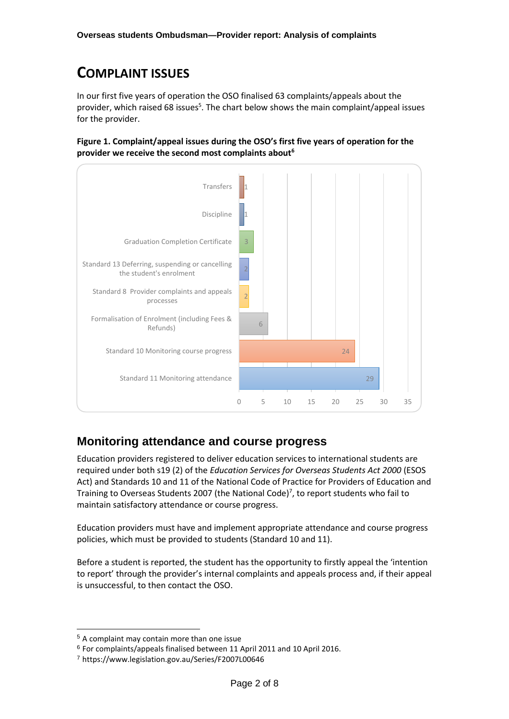## **COMPLAINT ISSUES**

In our first five years of operation the OSO finalised 63 complaints/appeals about the provider, which raised 68 issues<sup>5</sup>. The chart below shows the main complaint/appeal issues for the provider.

**Figure 1. Complaint/appeal issues during the OSO's first five years of operation for the provider we receive the second most complaints about<sup>6</sup>**



## **Monitoring attendance and course progress**

Education providers registered to deliver education services to international students are required under both s19 (2) of the *Education Services for Overseas Students Act 2000* (ESOS Act) and Standards 10 and 11 of the National Code of Practice for Providers of Education and Training to Overseas Students 2007 (the National Code)<sup>7</sup>, to report students who fail to maintain satisfactory attendance or course progress.

Education providers must have and implement appropriate attendance and course progress policies, which must be provided to students (Standard 10 and 11).

Before a student is reported, the student has the opportunity to firstly appeal the 'intention to report' through the provider's internal complaints and appeals process and, if their appeal is unsuccessful, to then contact the OSO.

-

<sup>5</sup> A complaint may contain more than one issue

<sup>6</sup> For complaints/appeals finalised between 11 April 2011 and 10 April 2016.

<sup>7</sup> https://www.legislation.gov.au/Series/F2007L00646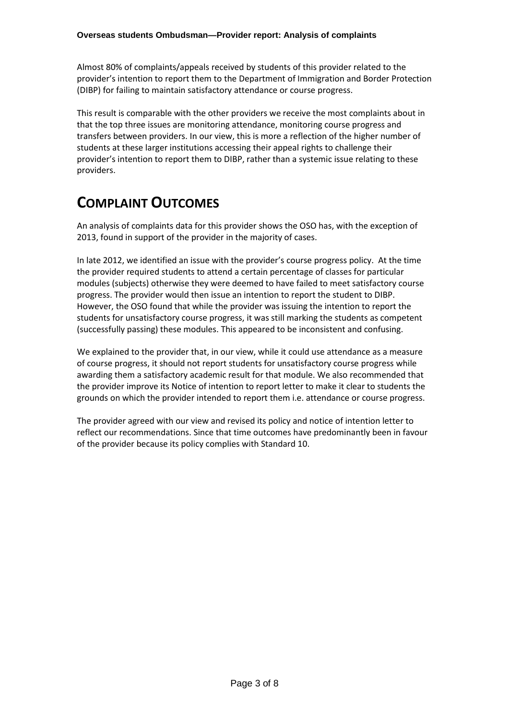Almost 80% of complaints/appeals received by students of this provider related to the provider's intention to report them to the Department of Immigration and Border Protection (DIBP) for failing to maintain satisfactory attendance or course progress.

This result is comparable with the other providers we receive the most complaints about in that the top three issues are monitoring attendance, monitoring course progress and transfers between providers. In our view, this is more a reflection of the higher number of students at these larger institutions accessing their appeal rights to challenge their provider's intention to report them to DIBP, rather than a systemic issue relating to these providers.

# **COMPLAINT OUTCOMES**

An analysis of complaints data for this provider shows the OSO has, with the exception of 2013, found in support of the provider in the majority of cases.

In late 2012, we identified an issue with the provider's course progress policy. At the time the provider required students to attend a certain percentage of classes for particular modules (subjects) otherwise they were deemed to have failed to meet satisfactory course progress. The provider would then issue an intention to report the student to DIBP. However, the OSO found that while the provider was issuing the intention to report the students for unsatisfactory course progress, it was still marking the students as competent (successfully passing) these modules. This appeared to be inconsistent and confusing.

We explained to the provider that, in our view, while it could use attendance as a measure of course progress, it should not report students for unsatisfactory course progress while awarding them a satisfactory academic result for that module. We also recommended that the provider improve its Notice of intention to report letter to make it clear to students the grounds on which the provider intended to report them i.e. attendance or course progress.

The provider agreed with our view and revised its policy and notice of intention letter to reflect our recommendations. Since that time outcomes have predominantly been in favour of the provider because its policy complies with Standard 10.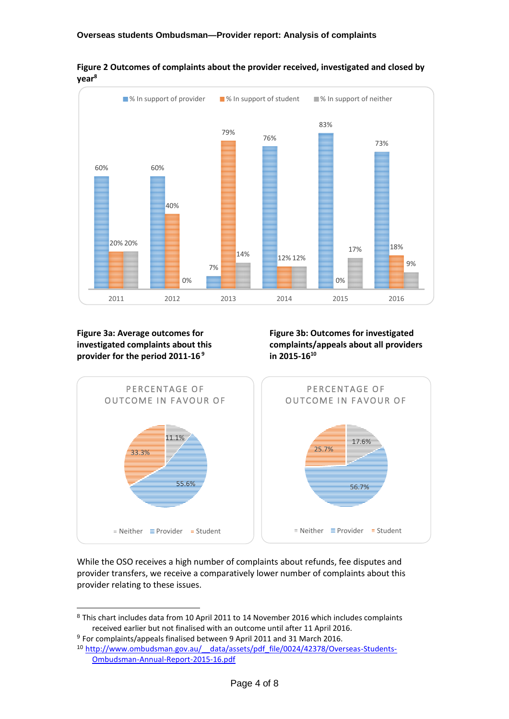

**Figure 2 Outcomes of complaints about the provider received, investigated and closed by year<sup>8</sup>**

**Figure 3a: Average outcomes for investigated complaints about this provider for the period 2011-16 <sup>9</sup>**

-

**Figure 3b: Outcomes for investigated complaints/appeals about all providers in 2015-16<sup>10</sup>**



While the OSO receives a high number of complaints about refunds, fee disputes and provider transfers, we receive a comparatively lower number of complaints about this provider relating to these issues.

<sup>8</sup> This chart includes data from 10 April 2011 to 14 November 2016 which includes complaints received earlier but not finalised with an outcome until after 11 April 2016.

<sup>9</sup> For complaints/appeals finalised between 9 April 2011 and 31 March 2016.

<sup>10</sup> [http://www.ombudsman.gov.au/\\_\\_data/assets/pdf\\_file/0024/42378/Overseas-Students-](http://www.ombudsman.gov.au/__data/assets/pdf_file/0024/42378/Overseas-Students-Ombudsman-Annual-Report-2015-16.pdf)[Ombudsman-Annual-Report-2015-16.pdf](http://www.ombudsman.gov.au/__data/assets/pdf_file/0024/42378/Overseas-Students-Ombudsman-Annual-Report-2015-16.pdf)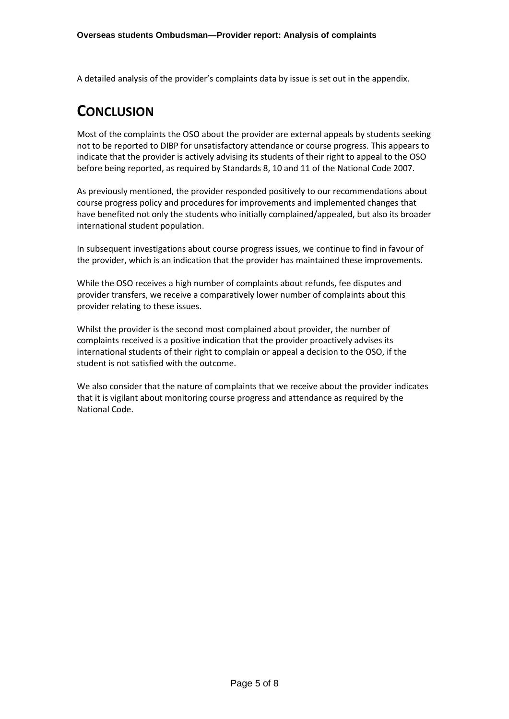A detailed analysis of the provider's complaints data by issue is set out in the appendix.

## **CONCLUSION**

Most of the complaints the OSO about the provider are external appeals by students seeking not to be reported to DIBP for unsatisfactory attendance or course progress. This appears to indicate that the provider is actively advising its students of their right to appeal to the OSO before being reported, as required by Standards 8, 10 and 11 of the National Code 2007.

As previously mentioned, the provider responded positively to our recommendations about course progress policy and procedures for improvements and implemented changes that have benefited not only the students who initially complained/appealed, but also its broader international student population.

In subsequent investigations about course progress issues, we continue to find in favour of the provider, which is an indication that the provider has maintained these improvements.

While the OSO receives a high number of complaints about refunds, fee disputes and provider transfers, we receive a comparatively lower number of complaints about this provider relating to these issues.

Whilst the provider is the second most complained about provider, the number of complaints received is a positive indication that the provider proactively advises its international students of their right to complain or appeal a decision to the OSO, if the student is not satisfied with the outcome.

We also consider that the nature of complaints that we receive about the provider indicates that it is vigilant about monitoring course progress and attendance as required by the National Code.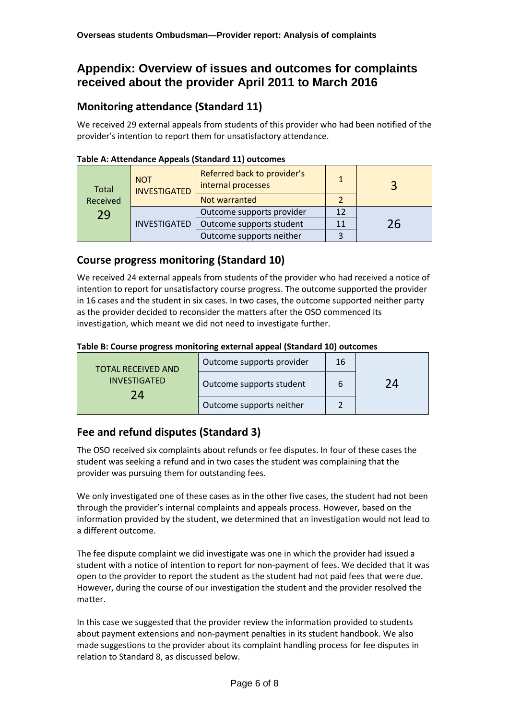## **Appendix: Overview of issues and outcomes for complaints received about the provider April 2011 to March 2016**

#### **Monitoring attendance (Standard 11)**

We received 29 external appeals from students of this provider who had been notified of the provider's intention to report them for unsatisfactory attendance.

| <b>Total</b><br>Received | <b>NOT</b><br><b>INVESTIGATED</b> | Referred back to provider's<br>internal processes<br>Not warranted | 1  |    |
|--------------------------|-----------------------------------|--------------------------------------------------------------------|----|----|
| 29                       | <b>INVESTIGATED</b>               | Outcome supports provider                                          | 12 | 26 |
|                          |                                   | Outcome supports student                                           | 11 |    |
|                          |                                   | Outcome supports neither                                           |    |    |

#### **Table A: Attendance Appeals (Standard 11) outcomes**

#### **Course progress monitoring (Standard 10)**

We received 24 external appeals from students of the provider who had received a notice of intention to report for unsatisfactory course progress. The outcome supported the provider in 16 cases and the student in six cases. In two cases, the outcome supported neither party as the provider decided to reconsider the matters after the OSO commenced its investigation, which meant we did not need to investigate further.

#### **Table B: Course progress monitoring external appeal (Standard 10) outcomes**

| <b>TOTAL RECEIVED AND</b>        | Outcome supports provider | 16 | 74 |
|----------------------------------|---------------------------|----|----|
| <b>INVESTIGATED</b><br>$7\Delta$ | Outcome supports student  | 6  |    |
|                                  | Outcome supports neither  |    |    |

#### **Fee and refund disputes (Standard 3)**

The OSO received six complaints about refunds or fee disputes. In four of these cases the student was seeking a refund and in two cases the student was complaining that the provider was pursuing them for outstanding fees.

We only investigated one of these cases as in the other five cases, the student had not been through the provider's internal complaints and appeals process. However, based on the information provided by the student, we determined that an investigation would not lead to a different outcome.

The fee dispute complaint we did investigate was one in which the provider had issued a student with a notice of intention to report for non-payment of fees. We decided that it was open to the provider to report the student as the student had not paid fees that were due. However, during the course of our investigation the student and the provider resolved the matter.

In this case we suggested that the provider review the information provided to students about payment extensions and non-payment penalties in its student handbook. We also made suggestions to the provider about its complaint handling process for fee disputes in relation to Standard 8, as discussed below.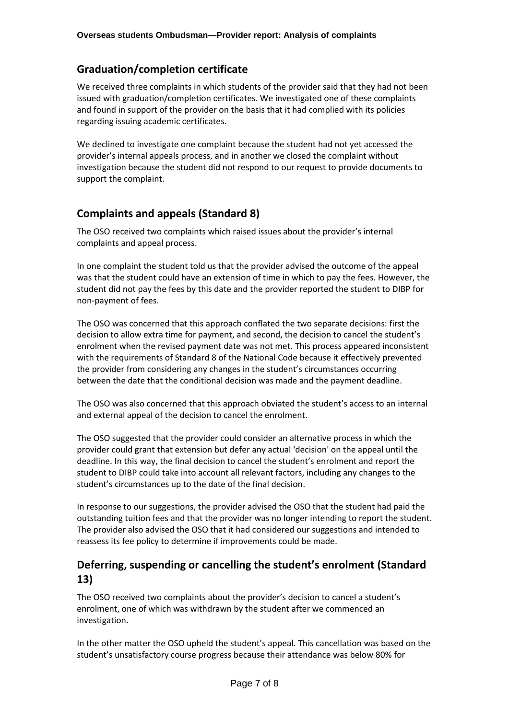#### **Graduation/completion certificate**

We received three complaints in which students of the provider said that they had not been issued with graduation/completion certificates. We investigated one of these complaints and found in support of the provider on the basis that it had complied with its policies regarding issuing academic certificates.

We declined to investigate one complaint because the student had not yet accessed the provider's internal appeals process, and in another we closed the complaint without investigation because the student did not respond to our request to provide documents to support the complaint.

#### **Complaints and appeals (Standard 8)**

The OSO received two complaints which raised issues about the provider's internal complaints and appeal process.

In one complaint the student told us that the provider advised the outcome of the appeal was that the student could have an extension of time in which to pay the fees. However, the student did not pay the fees by this date and the provider reported the student to DIBP for non-payment of fees.

The OSO was concerned that this approach conflated the two separate decisions: first the decision to allow extra time for payment, and second, the decision to cancel the student's enrolment when the revised payment date was not met. This process appeared inconsistent with the requirements of Standard 8 of the National Code because it effectively prevented the provider from considering any changes in the student's circumstances occurring between the date that the conditional decision was made and the payment deadline.

The OSO was also concerned that this approach obviated the student's access to an internal and external appeal of the decision to cancel the enrolment.

The OSO suggested that the provider could consider an alternative process in which the provider could grant that extension but defer any actual 'decision' on the appeal until the deadline. In this way, the final decision to cancel the student's enrolment and report the student to DIBP could take into account all relevant factors, including any changes to the student's circumstances up to the date of the final decision.

In response to our suggestions, the provider advised the OSO that the student had paid the outstanding tuition fees and that the provider was no longer intending to report the student. The provider also advised the OSO that it had considered our suggestions and intended to reassess its fee policy to determine if improvements could be made.

#### **Deferring, suspending or cancelling the student's enrolment (Standard 13)**

The OSO received two complaints about the provider's decision to cancel a student's enrolment, one of which was withdrawn by the student after we commenced an investigation.

In the other matter the OSO upheld the student's appeal. This cancellation was based on the student's unsatisfactory course progress because their attendance was below 80% for